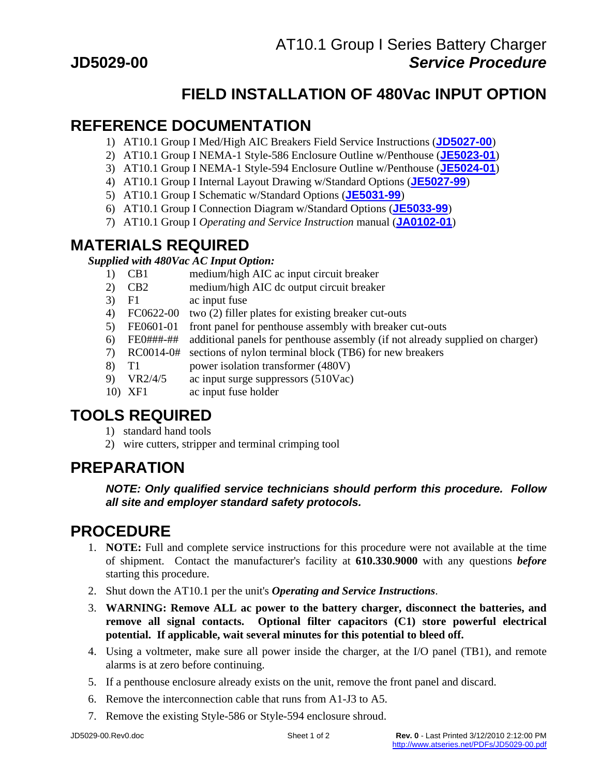# **FIELD INSTALLATION OF 480Vac INPUT OPTION**

## **REFERENCE DOCUMENTATION**

- 1) AT10.1 Group I Med/High AIC Breakers Field Service Instructions (**[JD5027-00](http://www.atseries.net/PDFs/JD5027-00.pdf)**)
- 2) AT10.1 Group I NEMA-1 Style-586 Enclosure Outline w/Penthouse (**[JE5023-01](http://www.atseries.net/PDFs/JE5023-01.pdf)**)
- 3) AT10.1 Group I NEMA-1 Style-594 Enclosure Outline w/Penthouse (**[JE5024-01](http://www.atseries.net/PDFs/JE5024-01.pdf)**)
- 4) AT10.1 Group I Internal Layout Drawing w/Standard Options (**[JE5027-99](http://www.atseries.net/PDFs/JE5027-99.pdf)**)
- 5) AT10.1 Group I Schematic w/Standard Options (**[JE5031-99](http://www.atseries.net/PDFs/JE5031-99.pdf)**)
- 6) AT10.1 Group I Connection Diagram w/Standard Options (**[JE5033-99](http://www.atseries.net/PDFs/JE5033-99.pdf)**)
- 7) AT10.1 Group I *Operating and Service Instruction* manual (**[JA0102-01](http://www.atseries.net/PDFs/JA0102-01.pdf)**)

# **MATERIALS REQUIRED**

*Supplied with 480Vac AC Input Option:*

- 1) CB1 medium/high AIC ac input circuit breaker
- 2) CB2 medium/high AIC dc output circuit breaker
- 3) F1 ac input fuse
- 4) FC0622-00 two (2) filler plates for existing breaker cut-outs
- 5) FE0601-01 front panel for penthouse assembly with breaker cut-outs
- 6) FE0###-## additional panels for penthouse assembly (if not already supplied on charger)
- 7) RC0014-0# sections of nylon terminal block (TB6) for new breakers
- 8) T1 power isolation transformer (480V)
- 9) VR2/4/5 ac input surge suppressors (510Vac)
- 10) XF1 ac input fuse holder

# **TOOLS REQUIRED**

- 1) standard hand tools
- 2) wire cutters, stripper and terminal crimping tool

# **PREPARATION**

### *NOTE: Only qualified service technicians should perform this procedure. Follow all site and employer standard safety protocols.*

# **PROCEDURE**

- 1. **NOTE:** Full and complete service instructions for this procedure were not available at the time of shipment. Contact the manufacturer's facility at **610.330.9000** with any questions *before* starting this procedure.
- 2. Shut down the AT10.1 per the unit's *Operating and Service Instructions*.
- 3. **WARNING: Remove ALL ac power to the battery charger, disconnect the batteries, and remove all signal contacts. Optional filter capacitors (C1) store powerful electrical potential. If applicable, wait several minutes for this potential to bleed off.**
- 4. Using a voltmeter, make sure all power inside the charger, at the I/O panel (TB1), and remote alarms is at zero before continuing.
- 5. If a penthouse enclosure already exists on the unit, remove the front panel and discard.
- 6. Remove the interconnection cable that runs from A1-J3 to A5.
- 7. Remove the existing Style-586 or Style-594 enclosure shroud.